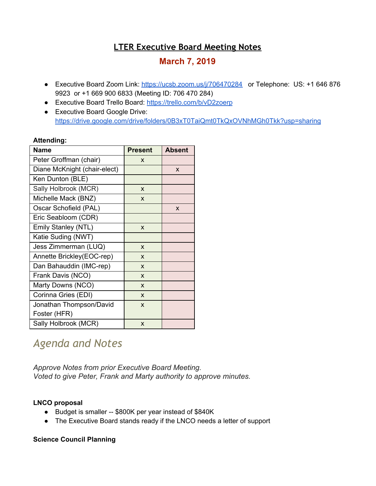# **LTER Executive Board Meeting Notes**

# **March 7, 2019**

- Executive Board Zoom Link: <https://ucsb.zoom.us/j/706470284> or Telephone: US: +1 646 876 9923 or +1 669 900 6833 (Meeting ID: 706 470 284)
- Executive Board Trello Board: <https://trello.com/b/vD2zoerp>
- Executive Board Google Drive: <https://drive.google.com/drive/folders/0B3xT0TaiQmt0TkQxOVNhMGh0Tkk?usp=sharing>

#### **Attending:**

| Name                         | <b>Present</b> | Absent |
|------------------------------|----------------|--------|
| Peter Groffman (chair)       | X              |        |
| Diane McKnight (chair-elect) |                | X      |
| Ken Dunton (BLE)             |                |        |
| Sally Holbrook (MCR)         | X              |        |
| Michelle Mack (BNZ)          | X              |        |
| Oscar Schofield (PAL)        |                | X      |
| Eric Seabloom (CDR)          |                |        |
| Emily Stanley (NTL)          | X              |        |
| Katie Suding (NWT)           |                |        |
| Jess Zimmerman (LUQ)         | X              |        |
| Annette Brickley(EOC-rep)    | X              |        |
| Dan Bahauddin (IMC-rep)      | X              |        |
| Frank Davis (NCO)            | X              |        |
| Marty Downs (NCO)            | X              |        |
| Corinna Gries (EDI)          | X              |        |
| Jonathan Thompson/David      | X              |        |
| Foster (HFR)                 |                |        |
| Sally Holbrook (MCR)         | X              |        |

# *Agenda and Notes*

*Approve Notes from prior Executive Board Meeting. Voted to give Peter, Frank and Marty authority to approve minutes.*

## **LNCO proposal**

- Budget is smaller -- \$800K per year instead of \$840K
- The Executive Board stands ready if the LNCO needs a letter of support

## **Science Council Planning**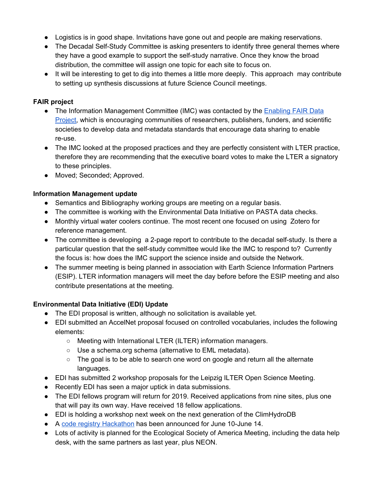- Logistics is in good shape. Invitations have gone out and people are making reservations.
- The Decadal Self-Study Committee is asking presenters to identify three general themes where they have a good example to support the self-study narrative. Once they know the broad distribution, the committee will assign one topic for each site to focus on.
- It will be interesting to get to dig into themes a little more deeply. This approach may contribute to setting up synthesis discussions at future Science Council meetings.

# **FAIR project**

- The Information Management Committee (IMC) was contacted by the [Enabling](http://www.copdess.org/enabling-fair-data-project/commitment-to-enabling-fair-data-in-the-earth-space-and-environmental-sciences/) FAIR Data [Project](http://www.copdess.org/enabling-fair-data-project/commitment-to-enabling-fair-data-in-the-earth-space-and-environmental-sciences/), which is encouraging communities of researchers, publishers, funders, and scientific societies to develop data and metadata standards that encourage data sharing to enable re-use.
- The IMC looked at the proposed practices and they are perfectly consistent with LTER practice, therefore they are recommending that the executive board votes to make the LTER a signatory to these principles.
- Moved; Seconded; Approved.

# **Information Management update**

- Semantics and Bibliography working groups are meeting on a regular basis.
- The committee is working with the Environmental Data Initiative on PASTA data checks.
- Monthly virtual water coolers continue. The most recent one focused on using Zotero for reference management.
- The committee is developing a 2-page report to contribute to the decadal self-study. Is there a particular question that the self-study committee would like the IMC to respond to? Currently the focus is: how does the IMC support the science inside and outside the Network.
- The summer meeting is being planned in association with Earth Science Information Partners (ESIP). LTER information managers will meet the day before before the ESIP meeting and also contribute presentations at the meeting.

# **Environmental Data Initiative (EDI) Update**

- The EDI proposal is written, although no solicitation is available yet.
- EDI submitted an AccelNet proposal focused on controlled vocabularies, includes the following elements:
	- Meeting with International LTER (ILTER) information managers.
	- Use a schema.org schema (alternative to EML metadata).
	- $\circ$  The goal is to be able to search one word on google and return all the alternate languages.
- EDI has submitted 2 workshop proposals for the Leipzig ILTER Open Science Meeting.
- Recently EDI has seen a major uptick in data submissions.
- The EDI fellows program will return for 2019. Received applications from nine sites, plus one that will pay its own way. Have received 18 fellow applications.
- EDI is holding a workshop next week on the next generation of the ClimHydroDB
- A code registry [Hackathon](https://environmentaldatainitiative.org/2019/03/12/edi-hackathon-announcement/) has been announced for June 10-June 14.
- Lots of activity is planned for the Ecological Society of America Meeting, including the data help desk, with the same partners as last year, plus NEON.